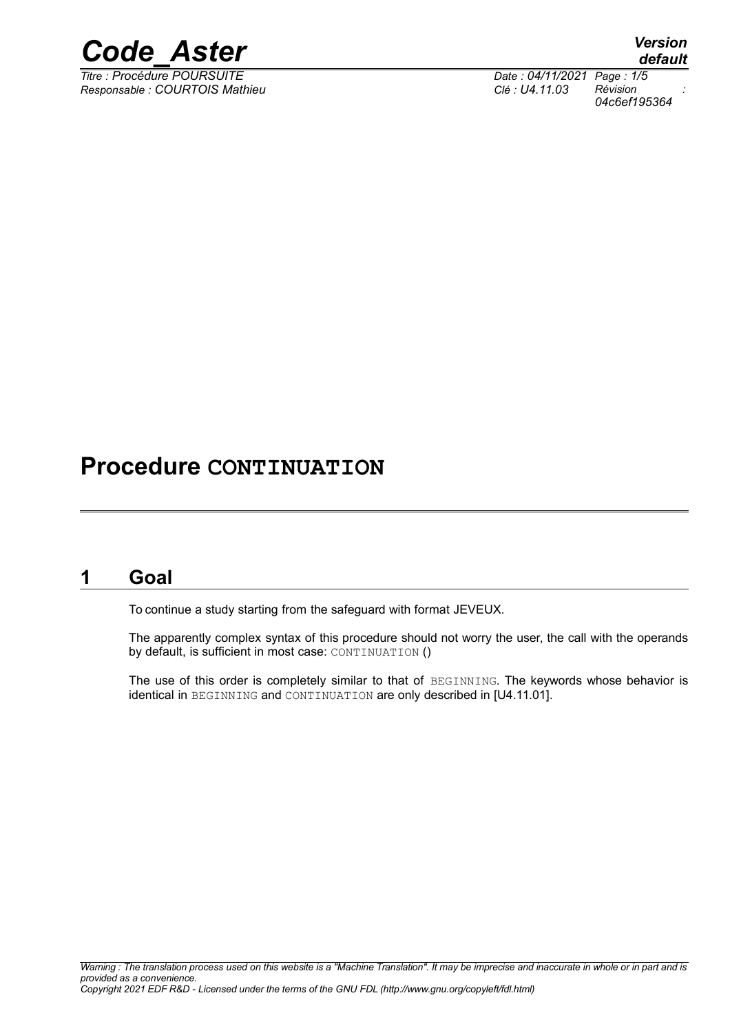

*Titre : Procédure POURSUITE Date : 04/11/2021 Page : 1/5 Responsable : COURTOIS Mathieu Clé : U4.11.03 Révision :*

*default*

*04c6ef195364*

## **Procedure CONTINUATION**

### **1 Goal**

To continue a study starting from the safeguard with format JEVEUX.

The apparently complex syntax of this procedure should not worry the user, the call with the operands by default, is sufficient in most case: CONTINUATION ()

The use of this order is completely similar to that of BEGINNING. The keywords whose behavior is identical in BEGINNING and CONTINUATION are only described in [U4.11.01].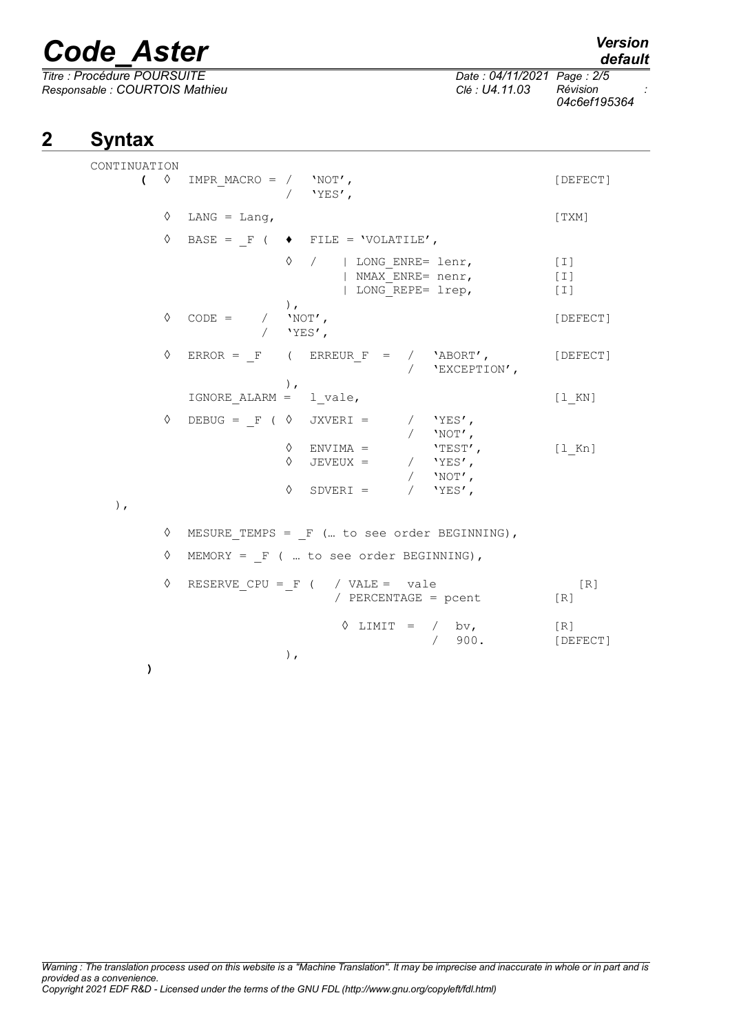*Titre : Procédure POURSUITE Date : 04/11/2021 Page : 2/5 Responsable : COURTOIS Mathieu Clé : U4.11.03 Révision :*

*04c6ef195364*

### **2 Syntax**

| CONTINUATION |                                                                                                                       |                                                                                                                                                                                                                                                                                                                                                                                                                                                                                                                                                                                                                                                                                           |                                 |
|--------------|-----------------------------------------------------------------------------------------------------------------------|-------------------------------------------------------------------------------------------------------------------------------------------------------------------------------------------------------------------------------------------------------------------------------------------------------------------------------------------------------------------------------------------------------------------------------------------------------------------------------------------------------------------------------------------------------------------------------------------------------------------------------------------------------------------------------------------|---------------------------------|
|              | $\sqrt{2}$ IMPR_MACRO = / $'NOT'$ ,                                                                                   | / $'YES'$ ,                                                                                                                                                                                                                                                                                                                                                                                                                                                                                                                                                                                                                                                                               | [DEFECT]                        |
|              | $\Diamond$ LANG = Lang,                                                                                               |                                                                                                                                                                                                                                                                                                                                                                                                                                                                                                                                                                                                                                                                                           | [TXM]                           |
|              |                                                                                                                       | $\Diamond$ BASE = F ( $\blacklozenge$ FILE = 'VOLATILE',                                                                                                                                                                                                                                                                                                                                                                                                                                                                                                                                                                                                                                  |                                 |
|              |                                                                                                                       | $\Diamond$ /   LONG ENRE= lenr,<br>  NMAX ENRE= nenr,<br>  LONG REPE= lrep,                                                                                                                                                                                                                                                                                                                                                                                                                                                                                                                                                                                                               | $[\;1]$<br>$[\;1\;]$<br>$[\;1]$ |
| ♦            | $\begin{array}{ccc} \texttt{CODE} & = & / & \texttt{'NOT'} \texttt{,} \\ & / & \texttt{'YES'} \texttt{,} \end{array}$ | $\,$ , $\,$                                                                                                                                                                                                                                                                                                                                                                                                                                                                                                                                                                                                                                                                               | [DEFECT]                        |
|              |                                                                                                                       | $\Diamond$ ERROR = $_F$ ( ERREUR $_F$ = / 'ABORT', [DEFECT]<br>/ $'$ EXCEPTION',                                                                                                                                                                                                                                                                                                                                                                                                                                                                                                                                                                                                          |                                 |
|              | IGNORE ALARM = $1$ vale,                                                                                              | $\,$ , $\,$                                                                                                                                                                                                                                                                                                                                                                                                                                                                                                                                                                                                                                                                               | [1 K N]                         |
|              |                                                                                                                       | $\begin{array}{ccccccccc} \Diamond & \text{DEBUG} & = & \mathbb{F} & ( & \Diamond & \text{JXVERI} & = & & / & \text{YES} \text{ \textit{ \end{array} \text{ \textit{ \end{array} \text{ \textit{ \end{array} \text{ \textit{ \end{array} }} \text{ \textit{ \end{array} \text{ \textit{ \end{array} }} \text{ \textit{ \end{array} } \text{ \textit{ \end{array} } \text{ \textit{ \end{array} } \text{ \textit{ \end{array} } \text{ \textit{ \end{array} } \text{ \textit{ \end{array} } \text{ \textit{ \end{array} } \$<br>$\Diamond$ ENVIMA = $\angle$ TEST',<br>$\Diamond\hspace{0.1in} \text{JEVEUX}\ =\ \hspace{1.2in} /\hspace{0.1in} \text{YES}\text{'}\text{,}$<br>/ $'$ NOT', | $[1$ Kn]                        |
| $)$ ,        |                                                                                                                       | $\lozenge \quad \text{SDVERI} \ = \quad \quad / \quad \text{'YES'} \, ,$                                                                                                                                                                                                                                                                                                                                                                                                                                                                                                                                                                                                                  |                                 |
|              |                                                                                                                       | $\Diamond$ MESURE TEMPS = F ( to see order BEGINNING),                                                                                                                                                                                                                                                                                                                                                                                                                                                                                                                                                                                                                                    |                                 |
| $\Diamond$   |                                                                                                                       | MEMORY = $F$ (  to see order BEGINNING),                                                                                                                                                                                                                                                                                                                                                                                                                                                                                                                                                                                                                                                  |                                 |
|              |                                                                                                                       | $\Diamond$ RESERVE CPU = F ( / VALE = vale<br>/ PERCENTAGE = pcent                                                                                                                                                                                                                                                                                                                                                                                                                                                                                                                                                                                                                        | [R]<br>[R]                      |
| $\lambda$    |                                                                                                                       | $\Diamond$ LIMIT = / bv,<br>/ 900.<br>$)$ ,                                                                                                                                                                                                                                                                                                                                                                                                                                                                                                                                                                                                                                               | [R]<br>[DEFECT]                 |
|              |                                                                                                                       |                                                                                                                                                                                                                                                                                                                                                                                                                                                                                                                                                                                                                                                                                           |                                 |

*default*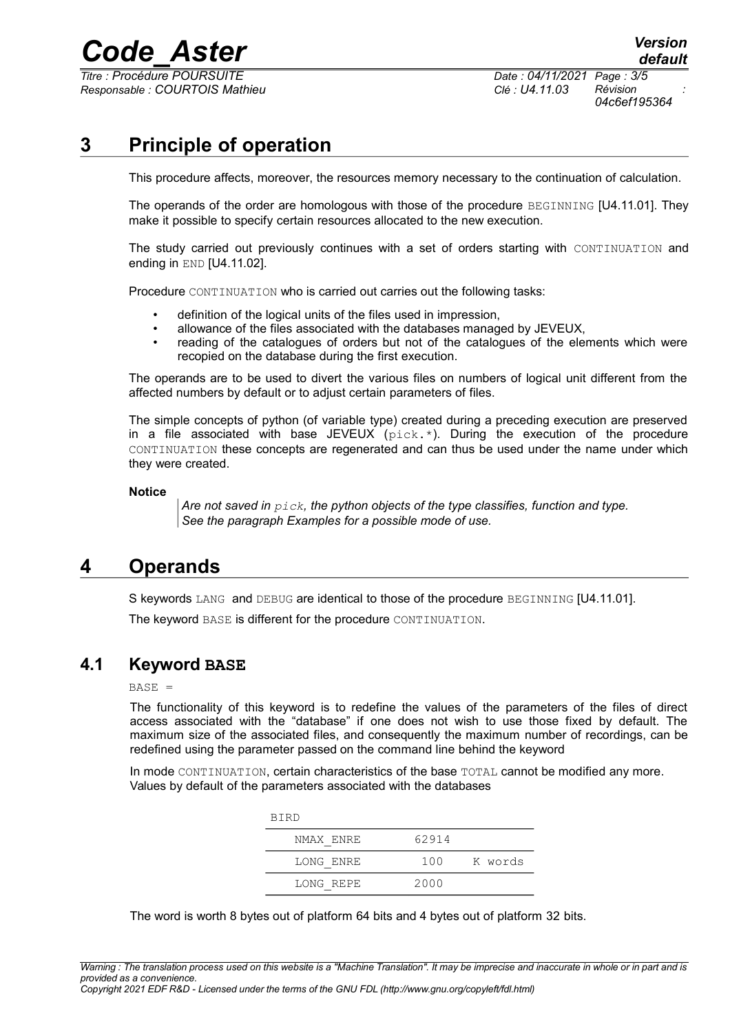*Titre : Procédure POURSUITE Date : 04/11/2021 Page : 3/5 Responsable : COURTOIS Mathieu Clé : U4.11.03 Révision :*

*04c6ef195364*

## **3 Principle of operation**

This procedure affects, moreover, the resources memory necessary to the continuation of calculation.

The operands of the order are homologous with those of the procedure BEGINNING [U4.11.01]. They make it possible to specify certain resources allocated to the new execution.

The study carried out previously continues with a set of orders starting with CONTINUATION and ending in END [U4.11.02].

Procedure CONTINUATION who is carried out carries out the following tasks:

- definition of the logical units of the files used in impression,
- allowance of the files associated with the databases managed by JEVEUX,
- reading of the catalogues of orders but not of the catalogues of the elements which were recopied on the database during the first execution.

The operands are to be used to divert the various files on numbers of logical unit different from the affected numbers by default or to adjust certain parameters of files.

The simple concepts of python (of variable type) created during a preceding execution are preserved in a file associated with base JEVEUX (pick.\*). During the execution of the procedure CONTINUATION these concepts are regenerated and can thus be used under the name under which they were created.

#### **Notice**

*Are not saved in pick, the python objects of the type classifies, function and type. See the paragraph Examples for a possible mode of use.*

### **4 Operands**

S keywords LANG and DEBUG are identical to those of the procedure BEGINNING [U4.11.01].

The keyword BASE is different for the procedure CONTINUATION.

### **4.1 Keyword BASE**

### $BASE =$

The functionality of this keyword is to redefine the values of the parameters of the files of direct access associated with the "database" if one does not wish to use those fixed by default. The maximum size of the associated files, and consequently the maximum number of recordings, can be redefined using the parameter passed on the command line behind the keyword

In mode CONTINUATION, certain characteristics of the base TOTAL cannot be modified any more. Values by default of the parameters associated with the databases

| <b>BIRD</b> |       |         |  |  |  |
|-------------|-------|---------|--|--|--|
| NMAX ENRE   | 62914 |         |  |  |  |
| LONG ENRE   | 100   | K words |  |  |  |
| LONG REPE   | 2000  |         |  |  |  |

The word is worth 8 bytes out of platform 64 bits and 4 bytes out of platform 32 bits.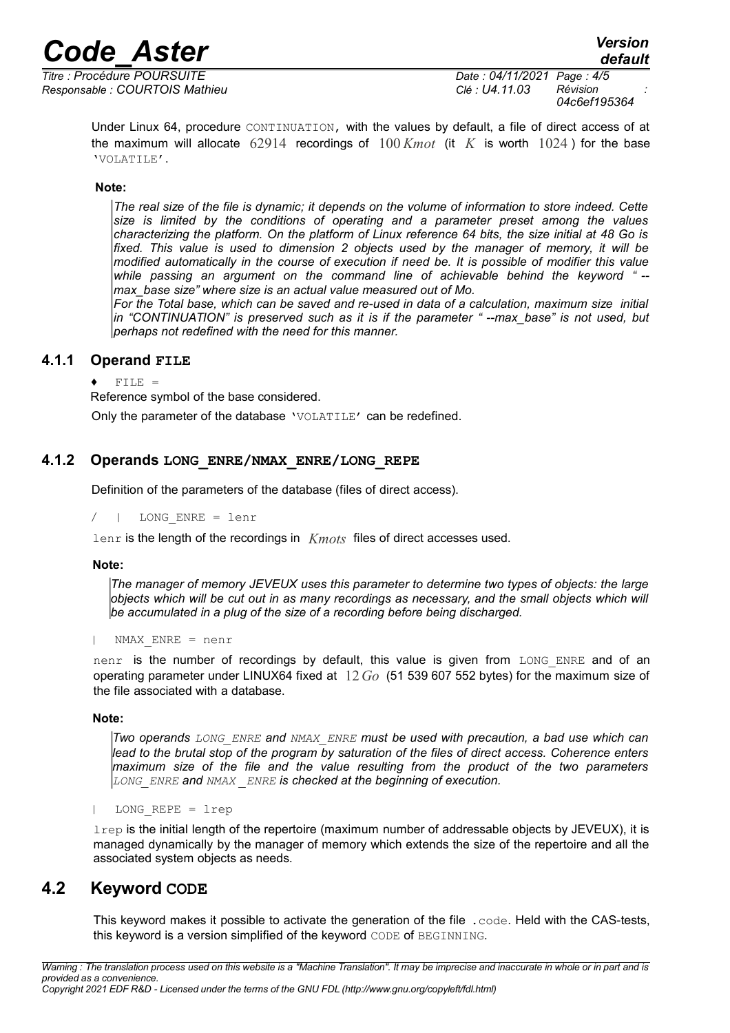*Titre : Procédure POURSUITE Date : 04/11/2021 Page : 4/5 Responsable : COURTOIS Mathieu Clé : U4.11.03 Révision :*

*04c6ef195364*

Under Linux 64, procedure CONTINUATION, with the values by default, a file of direct access of at the maximum will allocate 62914 recordings of 100 *Kmot* (it *K* is worth 1024 ) for the base 'VOLATILE'.

### **Note:**

*The real size of the file is dynamic; it depends on the volume of information to store indeed. Cette size is limited by the conditions of operating and a parameter preset among the values characterizing the platform. On the platform of Linux reference 64 bits, the size initial at 48 Go is fixed. This value is used to dimension 2 objects used by the manager of memory, it will be modified automatically in the course of execution if need be. It is possible of modifier this value while passing an argument on the command line of achievable behind the keyword " - max\_base size" where size is an actual value measured out of Mo.*

*For the Total base, which can be saved and re-used in data of a calculation, maximum size initial in "CONTINUATION" is preserved such as it is if the parameter " --max\_base" is not used, but perhaps not redefined with the need for this manner.*

### **4.1.1 Operand FILE**

 $FILE =$ 

Reference symbol of the base considered.

Only the parameter of the database 'VOLATILE' can be redefined.

### **4.1.2 Operands LONG\_ENRE/NMAX\_ENRE/LONG\_REPE**

Definition of the parameters of the database (files of direct access).

/ | LONG\_ENRE = lenr

lenr is the length of the recordings in *Kmots* files of direct accesses used.

#### **Note:**

*The manager of memory JEVEUX uses this parameter to determine two types of objects: the large objects which will be cut out in as many recordings as necessary, and the small objects which will be accumulated in a plug of the size of a recording before being discharged.*

| NMAX\_ENRE = nenr

nenr is the number of recordings by default, this value is given from LONG ENRE and of an operating parameter under LINUX64 fixed at 12*Go* (51 539 607 552 bytes) for the maximum size of the file associated with a database.

#### **Note:**

*Two operands LONG\_ENRE and NMAX\_ENRE must be used with precaution, a bad use which can lead to the brutal stop of the program by saturation of the files of direct access. Coherence enters maximum size of the file and the value resulting from the product of the two parameters LONG\_ENRE and NMAX \_ENRE is checked at the beginning of execution.*

| LONG\_REPE = lrep

lrep is the initial length of the repertoire (maximum number of addressable objects by JEVEUX), it is managed dynamically by the manager of memory which extends the size of the repertoire and all the associated system objects as needs.

### **4.2 Keyword CODE**

This keyword makes it possible to activate the generation of the file .code. Held with the CAS-tests, this keyword is a version simplified of the keyword CODE of BEGINNING.